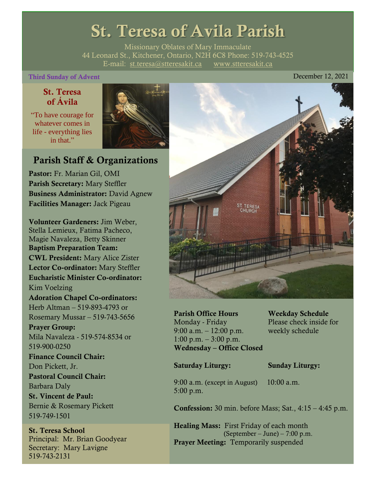# St. Teresa of Avila Parish

Missionary Oblates of Mary Immaculate 44 Leonard St., Kitchener, Ontario, N2H 6C8 Phone: 519-743-4525 E-mail: [st.teresa@stteresakit.ca](mailto:st.teresa@stteresakit.ca) [www.stteresakit.ca](http://www.stteresakit.ca/)

## Third Sunday of Advent December 12, 2021

# St. Teresa of Ávila

"To have courage for whatever comes in life - everything lies in that"



# Parish Staff & Organizations

Pastor: Fr. Marian Gil, OMI Parish Secretary: Mary Steffler Business Administrator: David Agnew Facilities Manager: Jack Pigeau

Volunteer Gardeners: Jim Weber, Stella Lemieux, Fatima Pacheco, Magie Navaleza, Betty Skinner Baptism Preparation Team: CWL President: Mary Alice Zister Lector Co-ordinator: Mary Steffler Eucharistic Minister Co-ordinator: Kim Voelzing Adoration Chapel Co-ordinators: Herb Altman – 519-893-4793 or Rosemary Mussar – 519-743-5656 Prayer Group: Mila Navaleza - 519-574-8534 or 519-900-0250 Finance Council Chair: Don Pickett, Jr. Pastoral Council Chair: Barbara Daly St. Vincent de Paul: Bernie & Rosemary Pickett 519-749-1501

St. Teresa School Principal: Mr. Brian Goodyear Secretary: Mary Lavigne 519-743-2131



Parish Office Hours Weekday Schedule Monday - Friday Please check inside for 9:00 a.m. – 12:00 p.m. weekly schedule  $1:00 \text{ p.m.} - 3:00 \text{ p.m.}$ Wednesday – Office Closed

### Saturday Liturgy: Sunday Liturgy:

9:00 a.m. (except in August) 10:00 a.m. 5:00 p.m.

Confession: 30 min. before Mass; Sat., 4:15 – 4:45 p.m.

Healing Mass: First Friday of each month (September – June) – 7:00 p.m. Prayer Meeting: Temporarily suspended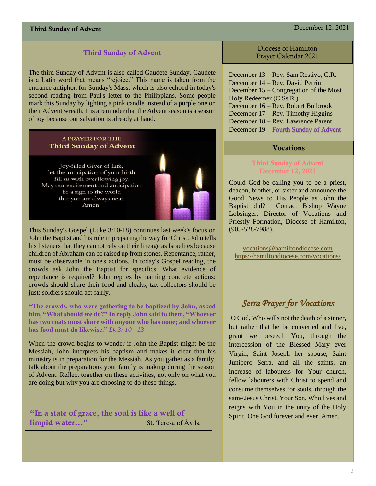# Third Sunday of Advent December 12, 2021

### Third Sunday of Advent

The third Sunday of Advent is also called Gaudete Sunday. Gaudete is a Latin word that means "rejoice." This name is taken from the entrance antiphon for Sunday's Mass, which is also echoed in today's second reading from Paul's letter to the Philippians. Some people mark this Sunday by lighting a pink candle instead of a purple one on their Advent wreath. It is a reminder that the Advent season is a season of joy because our salvation is already at hand.

### **A PRAYER FOR THE Third Sunday of Advent**

Joy-filled Giver of Life, let the anticipation of your birth fill us with overflowing joy. May our excitement and anticipation be a sign to the world that you are always near. Amen.

![](_page_1_Picture_6.jpeg)

This Sunday's Gospel (Luke 3:10-18) continues last week's focus on John the Baptist and his role in preparing the way for Christ. John tells his listeners that they cannot rely on their lineage as Israelites because children of Abraham can be raised up from stones. Repentance, rather, must be observable in one's actions. In today's Gospel reading, the crowds ask John the Baptist for specifics. What evidence of repentance is required? John replies by naming concrete actions: crowds should share their food and cloaks; tax collectors should be just; soldiers should act fairly.

**"The crowds, who were gathering to be baptized by John, asked him, "What should we do?" In reply John said to them, "Whoever has two coats must share with anyone who has none; and whoever has food must do likewise."** *Lk 3: 10 - 13*

When the crowd begins to wonder if John the Baptist might be the Messiah, John interprets his baptism and makes it clear that his ministry is in preparation for the Messiah. As you gather as a family, talk about the preparations your family is making during the season of Advent. Reflect together on these activities, not only on what you are doing but why you are choosing to do these things.

"In a state of grace, the soul is like a well of limpid water..." St. Teresa of Ávila

Diocese of Hamilton Prayer Calendar 2021

December 13 – Rev. Sam Restivo, C.R. December 14 – Rev. David Perrin December 15 – Congregation of the Most Holy Redeemer (C.Ss.R.) December 16 – Rev. Robert Bulbrook December 17 – Rev. Timothy Higgins December 18 – Rev. Lawrence Parent December 19 – Fourth Sunday of Advent

### Vocations

### Third Sunday of Advent December 12, 2021

Could God be calling you to be a priest, deacon, brother, or sister and announce the Good News to His People as John the Baptist did? Contact Bishop Wayne Lobsinger, Director of Vocations and Priestly Formation, Diocese of Hamilton, (905-528-7988).

[vocations@hamiltondiocese.com](mailto:vocations@hamiltondiocese.com)  <https://hamiltondiocese.com/vocations/>

# *Serra Prayer for Vocations*

O God, Who wills not the death of a sinner, but rather that he be converted and live, grant we beseech You, through the intercession of the Blessed Mary ever Virgin, Saint Joseph her spouse, Saint Junipero Serra, and all the saints, an increase of labourers for Your church, fellow labourers with Christ to spend and consume themselves for souls, through the same Jesus Christ, Your Son, Who lives and reigns with You in the unity of the Holy Spirit, One God forever and ever. Amen.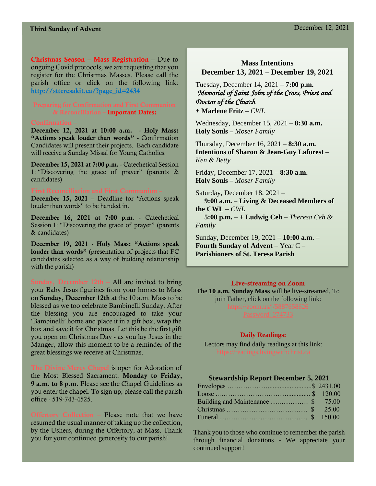Christmas Season – Mass Registration – Due to ongoing Covid protocols, we are requesting that you register for the Christmas Masses. Please call the parish office or click on the following link: [http://stteresakit.ca/?page\\_id=2434](http://stteresakit.ca/?page_id=2434)

# & Reconciliation – Important Dates:

December 12, 2021 at 10:00 a.m. - Holy Mass: "Actions speak louder than words" - Confirmation Candidates will present their projects. Each candidate will receive a Sunday Missal for Young Catholics.

December 15, 2021 at 7:00 p.m. - Catechetical Session 1: "Discovering the grace of prayer" (parents & candidates)

December 15, 2021 – Deadline for "Actions speak louder than words" to be handed in.

December 16, 2021 at 7:00 p.m. - Catechetical Session 1: "Discovering the grace of prayer" (parents & candidates)

December 19, 2021 - Holy Mass: "Actions speak louder than words" (presentation of projects that FC candidates selected as a way of building relationship with the parish)

Sunday, December  $12th - All$  are invited to bring your Baby Jesus figurines from your homes to Mass on Sunday, December 12th at the 10 a.m. Mass to be blessed as we too celebrate Bambinelli Sunday. After the blessing you are encouraged to take your 'Bambinelli' home and place it in a gift box, wrap the box and save it for Christmas. Let this be the first gift you open on Christmas Day - as you lay Jesus in the Manger, allow this moment to be a reminder of the great blessings we receive at Christmas.

The Divine Mercy Chapel is open for Adoration of the Most Blessed Sacrament, Monday to Friday, 9 a.m. to 8 p.m. Please see the Chapel Guidelines as you enter the chapel. To sign up, please call the parish office - 519-743-4525.

Offertory Collection – Please note that we have resumed the usual manner of taking up the collection, by the Ushers, during the Offertory, at Mass. Thank you for your continued generosity to our parish!

### **Mass Intentions December 13, 2021 – December 19, 2021**

Tuesday, December 14, 2021 – **7:00 p.m.**  *Memorial of Saint John of the Cross, Priest and Doctor of the Church* **+ Marlene Fritz –** *CWL*

Wednesday, December 15, 2021 – **8:30 a.m.** **Holy Souls –** *Moser Family*

Thursday, December 16, 2021 – **8:30 a.m. Intentions of Sharon & Jean-Guy Laforest –**  *Ken & Betty*

Friday, December 17, 2021 – **8:30 a.m.** **Holy Souls –** *Moser Family*

Saturday, December 18, 2021 –  **9:00 a.m.** – **Living & Deceased Members of the CWL –** *CWL*

 **5:00 p.m.** – **+ Ludwig Ceh** – *Theresa Ceh & Family*

Sunday, December 19, 2021 – **10:00 a.m.** – **Fourth Sunday of Advent** – Year C – **Parishioners of St. Teresa Parish** 

### Live-streaming on Zoom

The **10 a.m. Sunday Mass** will be live-streamed. To join Father, click on the following link:

### **Daily Readings:**

Lectors may find daily readings at this link:

### **Stewardship Report December 5, 2021**

Thank you to those who continue to remember the parish through financial donations - We appreciate your continued support!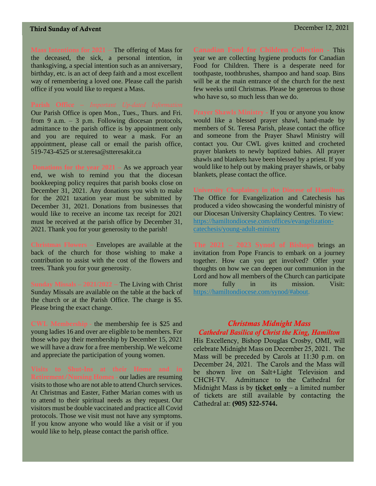# Third Sunday of Advent December 12, 2021

Mass Intentions for 2021 – The offering of Mass for the deceased, the sick, a personal intention, in thanksgiving, a special intention such as an anniversary, birthday, etc. is an act of deep faith and a most excellent way of remembering a loved one. Please call the parish office if you would like to request a Mass.

Our Parish Office is open Mon., Tues., Thurs. and Fri. from 9 a.m. – 3 p.m. Following diocesan protocols, admittance to the parish office is by appointment only and you are required to wear a mask. For an appointment, please call or email the parish office, 519-743-4525 or st.teresa@stteresakit.ca

**Donations for the year 2021 –** As we approach year end, we wish to remind you that the diocesan bookkeeping policy requires that parish books close on December 31, 2021. Any donations you wish to make for the 2021 taxation year must be submitted by December 31, 2021. Donations from businesses that would like to receive an income tax receipt for 2021 must be received at the parish office by December 31, 2021. Thank you for your generosity to the parish!

**Christmas Flowers** – Envelopes are available at the back of the church for those wishing to make a contribution to assist with the cost of the flowers and trees. Thank you for your generosity.

**Sunday Missals – 2021/2022 –** The Living with Christ Sunday Missals are available on the table at the back of the church or at the Parish Office. The charge is \$5. Please bring the exact change.

CWL Membership - the membership fee is \$25 and young ladies 16 and over are eligible to be members. For those who pay their membership by December 15, 2021 we will have a draw for a free membership. We welcome and appreciate the participation of young women.

Retirement/Nursing Homes - our ladies are resuming visits to those who are not able to attend Church services. At Christmas and Easter, Father Marian comes with us to attend to their spiritual needs as they request. Our visitors must be double vaccinated and practice all Covid protocols. Those we visit must not have any symptoms. If you know anyone who would like a visit or if you would like to help, please contact the parish office.

**Canadian Food for Children Collection -** This year we are collecting hygiene products for Canadian Food for Children. There is a desperate need for toothpaste, toothbrushes, shampoo and hand soap. Bins will be at the main entrance of the church for the next few weeks until Christmas. Please be generous to those who have so, so much less than we do.

Prayer Shawls Ministry - If you or anyone you know would like a blessed prayer shawl, hand-made by members of St. Teresa Parish, please contact the office and someone from the Prayer Shawl Ministry will contact you. Our CWL gives knitted and crocheted prayer blankets to newly baptized babies. All prayer shawls and blankets have been blessed by a priest. If you would like to help out by making prayer shawls, or baby blankets, please contact the office.

The Office for Evangelization and Catechesis has produced a video showcasing the wonderful ministry of our Diocesan University Chaplaincy Centres. To view: [https://hamiltondiocese.com/offices/evangelization](https://hamiltondiocese.com/offices/evangelization-catechesis/young-adult-ministry)[catechesis/young-adult-ministry](https://hamiltondiocese.com/offices/evangelization-catechesis/young-adult-ministry)

**The 2021 – 2023 Synod of Bishops** brings an invitation from Pope Francis to embark on a journey together. How can you get involved? Offer your thoughts on how we can deepen our communion in the Lord and how all members of the Church can participate more fully in its mission. Visit: [https://hamiltondiocese.com/synod/#about.](https://hamiltondiocese.com/synod/#about)

### *Christmas Midnight Mass Cathedral Basilica of Christ the King, Hamilton*

His Excellency, Bishop Douglas Crosby, OMI, will celebrate Midnight Mass on December 25, 2021. The Mass will be preceded by Carols at 11:30 p.m. on December 24, 2021. The Carols and the Mass will be shown live on Salt+Light Television and CHCH-TV. Admittance to the Cathedral for Midnight Mass is by **ticket only** – a limited number of tickets are still available by contacting the Cathedral at: (905) 522-5744.